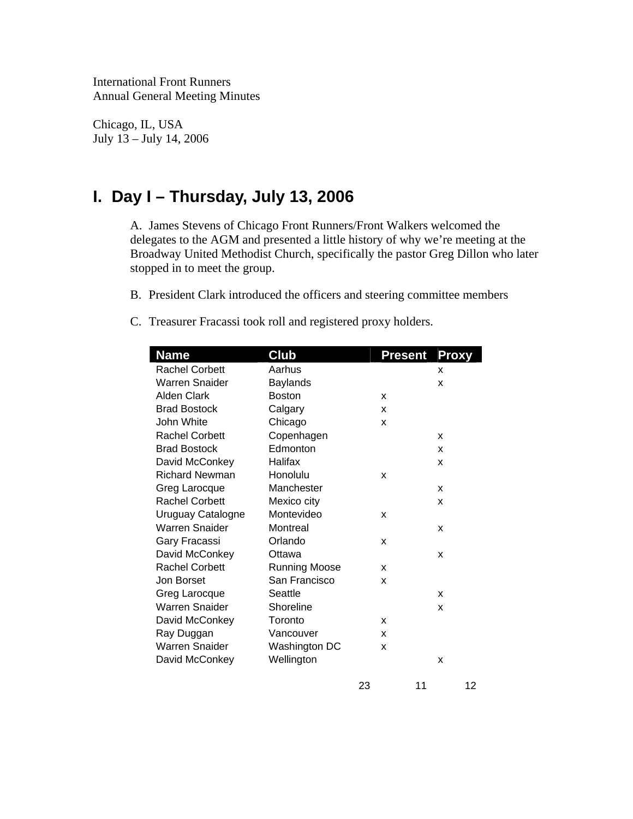International Front Runners Annual General Meeting Minutes

Chicago, IL, USA July 13 – July 14, 2006

# **I. Day I – Thursday, July 13, 2006**

A. James Stevens of Chicago Front Runners/Front Walkers welcomed the delegates to the AGM and presented a little history of why we're meeting at the Broadway United Methodist Church, specifically the pastor Greg Dillon who later stopped in to meet the group.

- B. President Clark introduced the officers and steering committee members
- C. Treasurer Fracassi took roll and registered proxy holders.

| <b>Name</b>           | Club                 | Present | <b>Proxy</b> |
|-----------------------|----------------------|---------|--------------|
| <b>Rachel Corbett</b> | Aarhus               |         | X            |
| <b>Warren Snaider</b> | Baylands             |         | x            |
| <b>Alden Clark</b>    | <b>Boston</b>        | x       |              |
| <b>Brad Bostock</b>   | Calgary              | X       |              |
| John White            | Chicago              | X       |              |
| <b>Rachel Corbett</b> | Copenhagen           |         | X            |
| <b>Brad Bostock</b>   | Edmonton             |         | x            |
| David McConkey        | Halifax              |         | X            |
| <b>Richard Newman</b> | Honolulu             | X       |              |
| Greg Larocque         | Manchester           |         | x            |
| <b>Rachel Corbett</b> | Mexico city          |         | X            |
| Uruguay Catalogne     | Montevideo           | X       |              |
| <b>Warren Snaider</b> | Montreal             |         | X            |
| Gary Fracassi         | Orlando              | x       |              |
| David McConkey        | Ottawa               |         | X            |
| <b>Rachel Corbett</b> | <b>Running Moose</b> | X       |              |
| Jon Borset            | San Francisco        | X       |              |
| Greg Larocque         | Seattle              |         | x            |
| <b>Warren Snaider</b> | Shoreline            |         | X            |
| David McConkey        | Toronto              | x       |              |
| Ray Duggan            | Vancouver            | x       |              |
| <b>Warren Snaider</b> | Washington DC        | x       |              |
| David McConkey        | Wellington           |         | X            |
|                       | 23                   | 11      | 12           |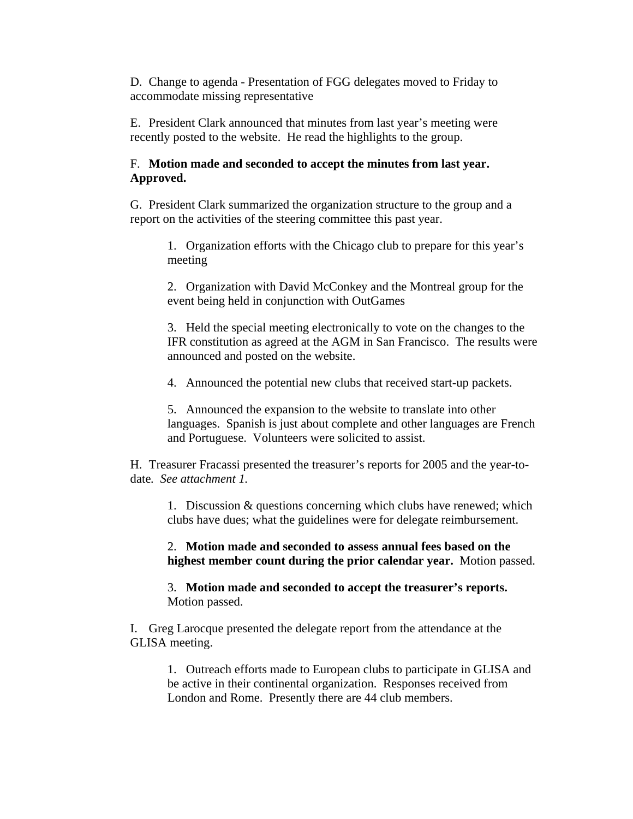D. Change to agenda - Presentation of FGG delegates moved to Friday to accommodate missing representative

E. President Clark announced that minutes from last year's meeting were recently posted to the website. He read the highlights to the group.

### F. **Motion made and seconded to accept the minutes from last year. Approved.**

G. President Clark summarized the organization structure to the group and a report on the activities of the steering committee this past year.

1. Organization efforts with the Chicago club to prepare for this year's meeting

2. Organization with David McConkey and the Montreal group for the event being held in conjunction with OutGames

3. Held the special meeting electronically to vote on the changes to the IFR constitution as agreed at the AGM in San Francisco. The results were announced and posted on the website.

4. Announced the potential new clubs that received start-up packets.

5. Announced the expansion to the website to translate into other languages. Spanish is just about complete and other languages are French and Portuguese. Volunteers were solicited to assist.

H. Treasurer Fracassi presented the treasurer's reports for 2005 and the year-todate*. See attachment 1.* 

1. Discussion & questions concerning which clubs have renewed; which clubs have dues; what the guidelines were for delegate reimbursement.

2. **Motion made and seconded to assess annual fees based on the highest member count during the prior calendar year.** Motion passed.

3. **Motion made and seconded to accept the treasurer's reports.** Motion passed.

I. Greg Larocque presented the delegate report from the attendance at the GLISA meeting.

1. Outreach efforts made to European clubs to participate in GLISA and be active in their continental organization. Responses received from London and Rome. Presently there are 44 club members.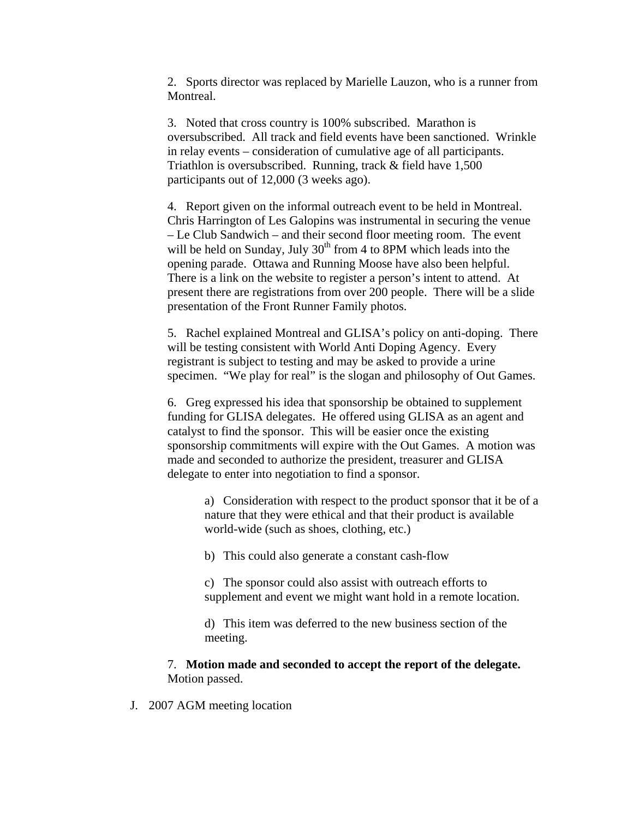2. Sports director was replaced by Marielle Lauzon, who is a runner from Montreal.

3. Noted that cross country is 100% subscribed. Marathon is oversubscribed. All track and field events have been sanctioned. Wrinkle in relay events – consideration of cumulative age of all participants. Triathlon is oversubscribed. Running, track & field have 1,500 participants out of 12,000 (3 weeks ago).

4. Report given on the informal outreach event to be held in Montreal. Chris Harrington of Les Galopins was instrumental in securing the venue – Le Club Sandwich – and their second floor meeting room. The event will be held on Sunday, July 30<sup>th</sup> from 4 to 8PM which leads into the opening parade. Ottawa and Running Moose have also been helpful. There is a link on the website to register a person's intent to attend. At present there are registrations from over 200 people. There will be a slide presentation of the Front Runner Family photos.

5. Rachel explained Montreal and GLISA's policy on anti-doping. There will be testing consistent with World Anti Doping Agency. Every registrant is subject to testing and may be asked to provide a urine specimen. "We play for real" is the slogan and philosophy of Out Games.

6. Greg expressed his idea that sponsorship be obtained to supplement funding for GLISA delegates. He offered using GLISA as an agent and catalyst to find the sponsor. This will be easier once the existing sponsorship commitments will expire with the Out Games. A motion was made and seconded to authorize the president, treasurer and GLISA delegate to enter into negotiation to find a sponsor.

a) Consideration with respect to the product sponsor that it be of a nature that they were ethical and that their product is available world-wide (such as shoes, clothing, etc.)

b) This could also generate a constant cash-flow

c) The sponsor could also assist with outreach efforts to supplement and event we might want hold in a remote location.

d) This item was deferred to the new business section of the meeting.

#### 7. **Motion made and seconded to accept the report of the delegate.** Motion passed.

J. 2007 AGM meeting location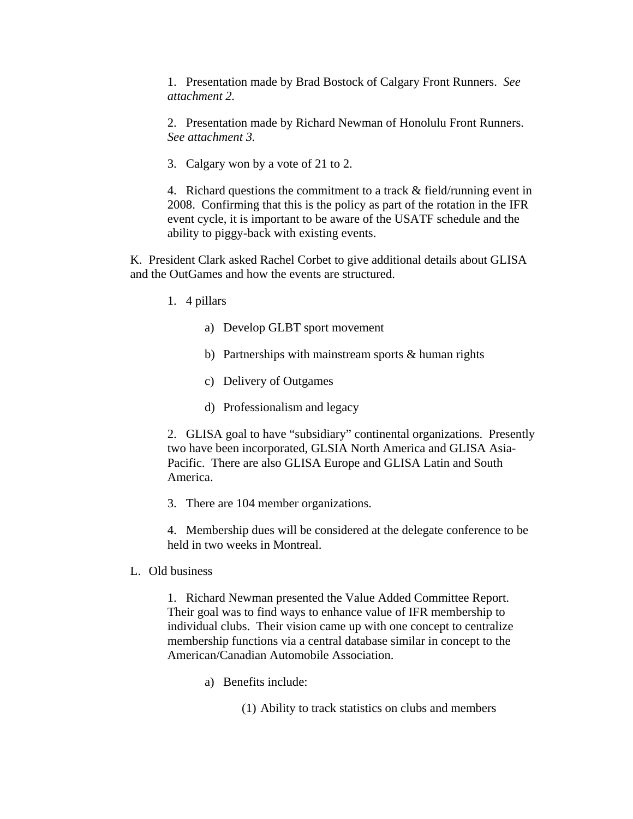1. Presentation made by Brad Bostock of Calgary Front Runners. *See attachment 2.*

2. Presentation made by Richard Newman of Honolulu Front Runners. *See attachment 3.*

3. Calgary won by a vote of 21 to 2.

4. Richard questions the commitment to a track & field/running event in 2008. Confirming that this is the policy as part of the rotation in the IFR event cycle, it is important to be aware of the USATF schedule and the ability to piggy-back with existing events.

K. President Clark asked Rachel Corbet to give additional details about GLISA and the OutGames and how the events are structured.

- 1. 4 pillars
	- a) Develop GLBT sport movement
	- b) Partnerships with mainstream sports & human rights
	- c) Delivery of Outgames
	- d) Professionalism and legacy

2. GLISA goal to have "subsidiary" continental organizations. Presently two have been incorporated, GLSIA North America and GLISA Asia-Pacific. There are also GLISA Europe and GLISA Latin and South America.

3. There are 104 member organizations.

4. Membership dues will be considered at the delegate conference to be held in two weeks in Montreal.

L. Old business

1. Richard Newman presented the Value Added Committee Report. Their goal was to find ways to enhance value of IFR membership to individual clubs. Their vision came up with one concept to centralize membership functions via a central database similar in concept to the American/Canadian Automobile Association.

- a) Benefits include:
	- (1) Ability to track statistics on clubs and members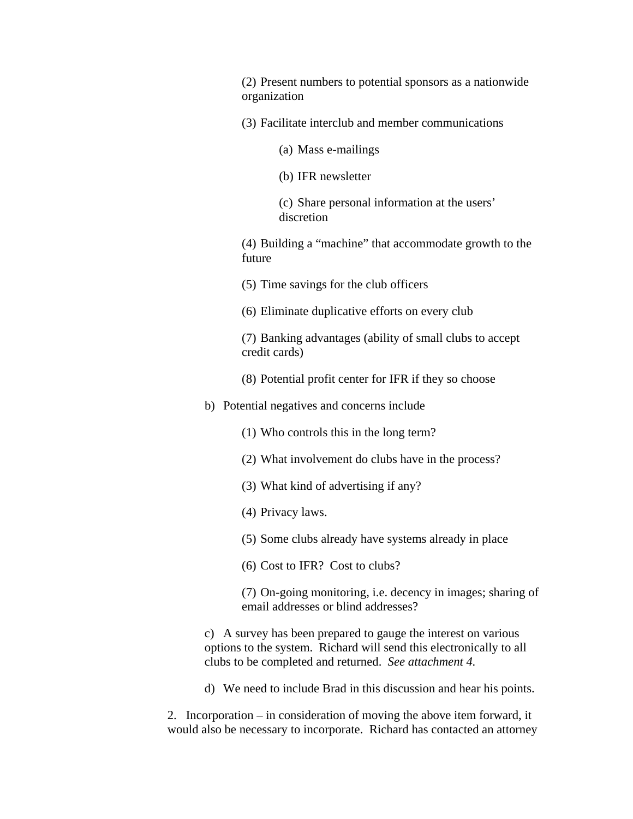(2) Present numbers to potential sponsors as a nationwide organization

- (3) Facilitate interclub and member communications
	- (a) Mass e-mailings
	- (b) IFR newsletter

(c) Share personal information at the users' discretion

(4) Building a "machine" that accommodate growth to the future

- (5) Time savings for the club officers
- (6) Eliminate duplicative efforts on every club

(7) Banking advantages (ability of small clubs to accept credit cards)

- (8) Potential profit center for IFR if they so choose
- b) Potential negatives and concerns include
	- (1) Who controls this in the long term?
	- (2) What involvement do clubs have in the process?
	- (3) What kind of advertising if any?
	- (4) Privacy laws.
	- (5) Some clubs already have systems already in place
	- (6) Cost to IFR? Cost to clubs?

(7) On-going monitoring, i.e. decency in images; sharing of email addresses or blind addresses?

c) A survey has been prepared to gauge the interest on various options to the system. Richard will send this electronically to all clubs to be completed and returned. *See attachment 4.*

d) We need to include Brad in this discussion and hear his points.

2. Incorporation – in consideration of moving the above item forward, it would also be necessary to incorporate. Richard has contacted an attorney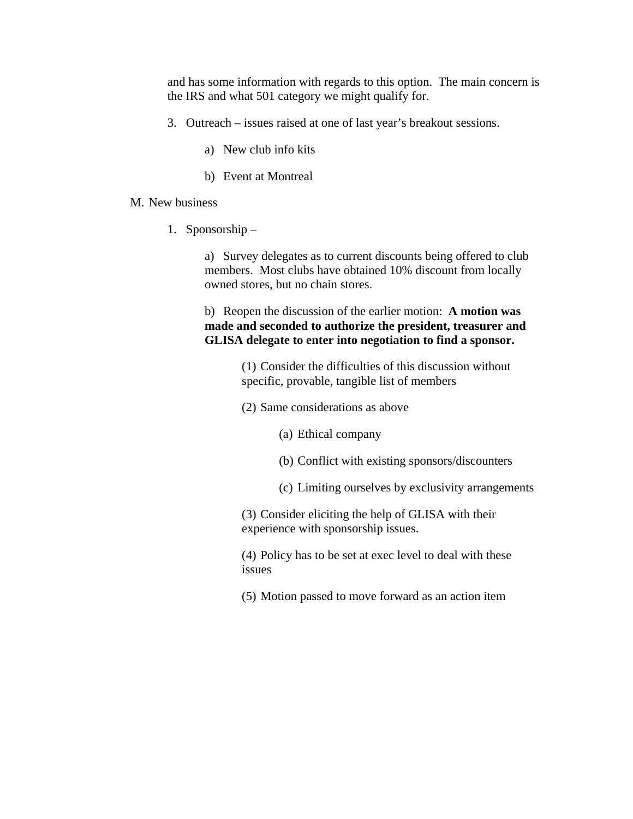and has some information with regards to this option. The main concern is the IRS and what 501 category we might qualify for.

- 3. Outreach issues raised at one of last year's breakout sessions.
	- a) New club info kits
	- b) Event at Montreal

#### M. New business

1. Sponsorship –

a) Survey delegates as to current discounts being offered to club members. Most clubs have obtained 10% discount from locally owned stores, but no chain stores.

b) Reopen the discussion of the earlier motion: **A motion was made and seconded to authorize the president, treasurer and GLISA delegate to enter into negotiation to find a sponsor.**

> (1) Consider the difficulties of this discussion without specific, provable, tangible list of members

- (2) Same considerations as above
	- (a) Ethical company
	- (b) Conflict with existing sponsors/discounters
	- (c) Limiting ourselves by exclusivity arrangements

(3) Consider eliciting the help of GLISA with their experience with sponsorship issues.

(4) Policy has to be set at exec level to deal with these issues

(5) Motion passed to move forward as an action item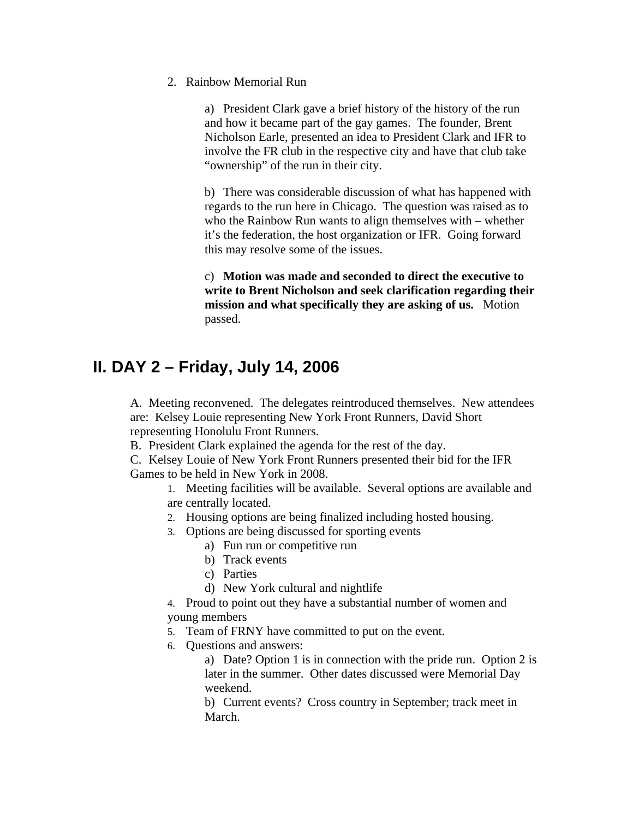2. Rainbow Memorial Run

a) President Clark gave a brief history of the history of the run and how it became part of the gay games. The founder, Brent Nicholson Earle, presented an idea to President Clark and IFR to involve the FR club in the respective city and have that club take "ownership" of the run in their city.

b) There was considerable discussion of what has happened with regards to the run here in Chicago. The question was raised as to who the Rainbow Run wants to align themselves with – whether it's the federation, the host organization or IFR. Going forward this may resolve some of the issues.

c) **Motion was made and seconded to direct the executive to write to Brent Nicholson and seek clarification regarding their mission and what specifically they are asking of us.** Motion passed.

## **II. DAY 2 – Friday, July 14, 2006**

A. Meeting reconvened. The delegates reintroduced themselves. New attendees are: Kelsey Louie representing New York Front Runners, David Short representing Honolulu Front Runners.

B. President Clark explained the agenda for the rest of the day.

C. Kelsey Louie of New York Front Runners presented their bid for the IFR Games to be held in New York in 2008.

1. Meeting facilities will be available. Several options are available and are centrally located.

- 2. Housing options are being finalized including hosted housing.
- 3. Options are being discussed for sporting events
	- a) Fun run or competitive run
	- b) Track events
	- c) Parties
	- d) New York cultural and nightlife

4. Proud to point out they have a substantial number of women and young members

- 5. Team of FRNY have committed to put on the event.
- 6. Questions and answers:

a) Date? Option 1 is in connection with the pride run. Option 2 is later in the summer. Other dates discussed were Memorial Day weekend.

b) Current events? Cross country in September; track meet in March.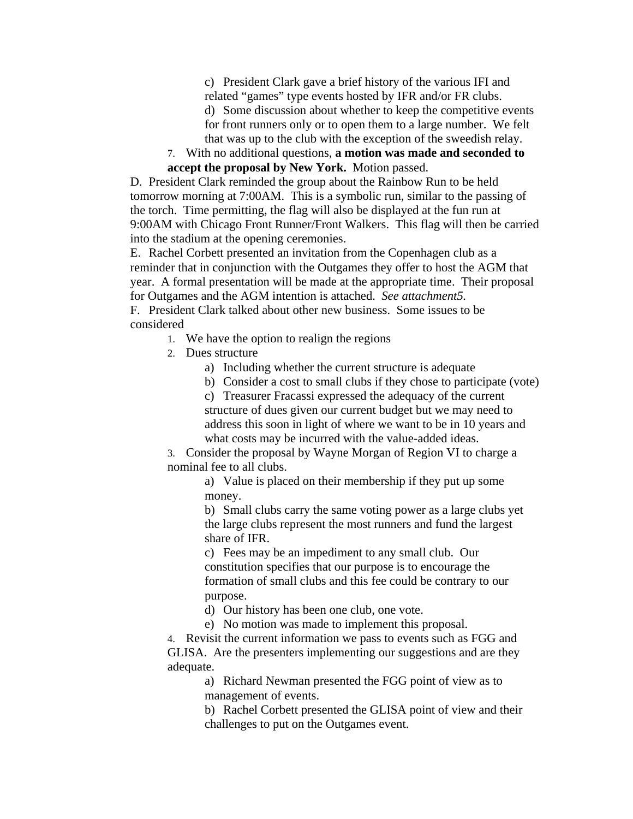c) President Clark gave a brief history of the various IFI and related "games" type events hosted by IFR and/or FR clubs.

d) Some discussion about whether to keep the competitive events for front runners only or to open them to a large number. We felt that was up to the club with the exception of the sweedish relay.

7. With no additional questions, **a motion was made and seconded to accept the proposal by New York.** Motion passed.

D. President Clark reminded the group about the Rainbow Run to be held tomorrow morning at 7:00AM. This is a symbolic run, similar to the passing of the torch. Time permitting, the flag will also be displayed at the fun run at 9:00AM with Chicago Front Runner/Front Walkers. This flag will then be carried into the stadium at the opening ceremonies.

E. Rachel Corbett presented an invitation from the Copenhagen club as a reminder that in conjunction with the Outgames they offer to host the AGM that year. A formal presentation will be made at the appropriate time. Their proposal for Outgames and the AGM intention is attached. *See attachment5.* F. President Clark talked about other new business. Some issues to be considered

- 1. We have the option to realign the regions
- 2. Dues structure
	- a) Including whether the current structure is adequate
	- b) Consider a cost to small clubs if they chose to participate (vote)

c) Treasurer Fracassi expressed the adequacy of the current structure of dues given our current budget but we may need to address this soon in light of where we want to be in 10 years and what costs may be incurred with the value-added ideas.

3. Consider the proposal by Wayne Morgan of Region VI to charge a nominal fee to all clubs.

> a) Value is placed on their membership if they put up some money.

b) Small clubs carry the same voting power as a large clubs yet the large clubs represent the most runners and fund the largest share of IFR.

c) Fees may be an impediment to any small club. Our constitution specifies that our purpose is to encourage the formation of small clubs and this fee could be contrary to our purpose.

d) Our history has been one club, one vote.

e) No motion was made to implement this proposal.

4. Revisit the current information we pass to events such as FGG and GLISA. Are the presenters implementing our suggestions and are they adequate.

> a) Richard Newman presented the FGG point of view as to management of events.

b) Rachel Corbett presented the GLISA point of view and their challenges to put on the Outgames event.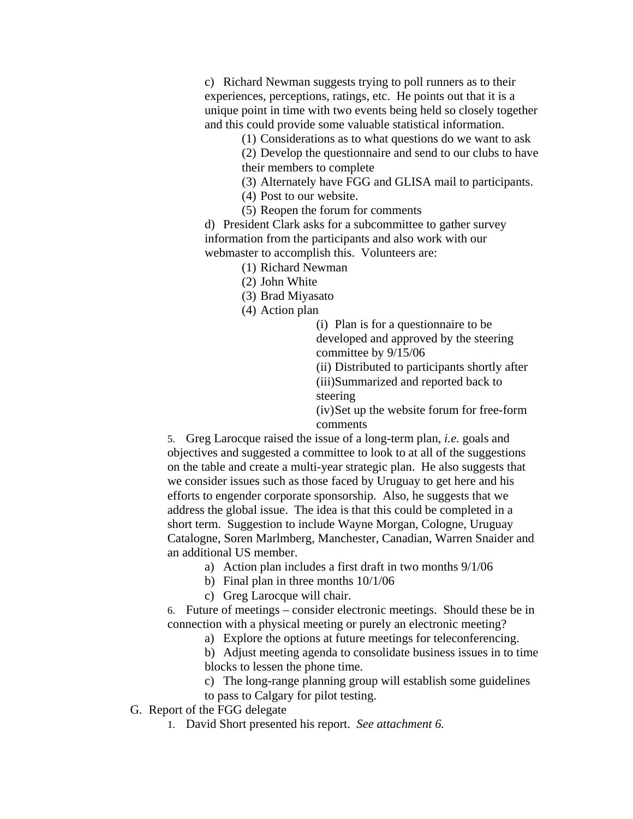c) Richard Newman suggests trying to poll runners as to their experiences, perceptions, ratings, etc. He points out that it is a unique point in time with two events being held so closely together and this could provide some valuable statistical information.

(1) Considerations as to what questions do we want to ask

(2) Develop the questionnaire and send to our clubs to have their members to complete

(3) Alternately have FGG and GLISA mail to participants.

(4) Post to our website.

(5) Reopen the forum for comments

d) President Clark asks for a subcommittee to gather survey information from the participants and also work with our webmaster to accomplish this. Volunteers are:

(1) Richard Newman

(2) John White

(3) Brad Miyasato

(4) Action plan

(i) Plan is for a questionnaire to be developed and approved by the steering committee by 9/15/06

(ii) Distributed to participants shortly after (iii)Summarized and reported back to steering

(iv)Set up the website forum for free-form comments

5. Greg Larocque raised the issue of a long-term plan, *i.e.* goals and objectives and suggested a committee to look to at all of the suggestions on the table and create a multi-year strategic plan. He also suggests that we consider issues such as those faced by Uruguay to get here and his efforts to engender corporate sponsorship. Also, he suggests that we address the global issue. The idea is that this could be completed in a short term. Suggestion to include Wayne Morgan, Cologne, Uruguay Catalogne, Soren Marlmberg, Manchester, Canadian, Warren Snaider and an additional US member.

- a) Action plan includes a first draft in two months 9/1/06
- b) Final plan in three months 10/1/06
- c) Greg Larocque will chair.

6. Future of meetings – consider electronic meetings. Should these be in connection with a physical meeting or purely an electronic meeting?

a) Explore the options at future meetings for teleconferencing.

b) Adjust meeting agenda to consolidate business issues in to time blocks to lessen the phone time.

c) The long-range planning group will establish some guidelines

to pass to Calgary for pilot testing.

G. Report of the FGG delegate

1. David Short presented his report. *See attachment 6.*